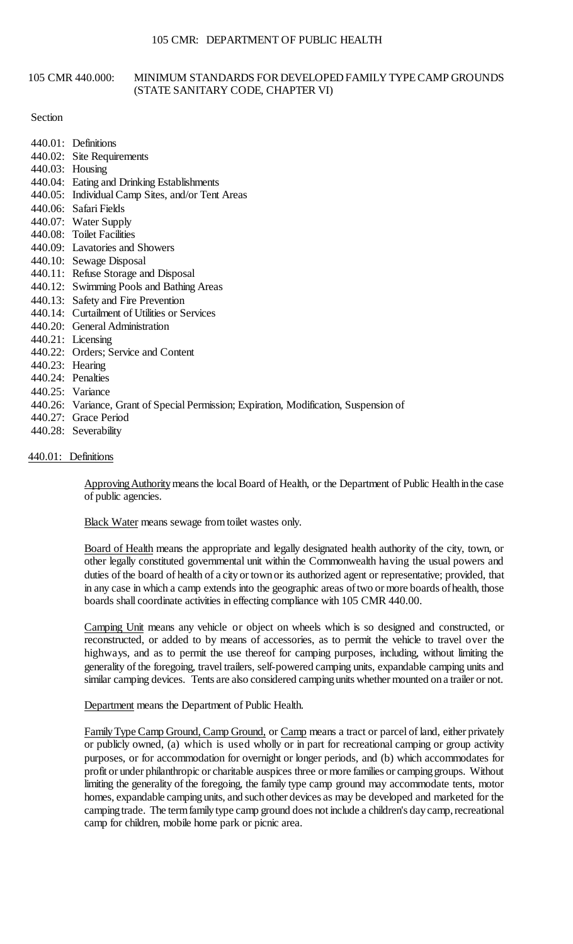## 105 CMR 440.000: MINIMUM STANDARDS FOR DEVELOPED FAMILY TYPE CAMP GROUNDS (STATE SANITARY CODE, CHAPTER VI)

### Section

- 440.01: Definitions
- 440.02: Site Requirements
- 440.03: Housing
- 440.04: Eating and Drinking Establishments
- 440.05: Individual Camp Sites, and/or Tent Areas
- 440.06: Safari Fields
- 440.07: Water Supply
- 440.08: Toilet Facilities
- 440.09: Lavatories and Showers
- 440.10: Sewage Disposal
- 440.11: Refuse Storage and Disposal
- 440.12: Swimming Pools and Bathing Areas
- 440.13: Safety and Fire Prevention
- 440.14: Curtailment of Utilities or Services
- 440.20: General Administration
- 440.21: Licensing
- 440.22: Orders; Service and Content
- 440.23: Hearing
- 440.24: Penalties
- 440.25: Variance
- 440.26: Variance, Grant of Special Permission; Expiration, Modification, Suspension of
- 440.27: Grace Period
- 440.28: Severability

## 440.01: Definitions

Approving Authority means the local Board of Health, or the Department of Public Health in the case of public agencies.

Black Water means sewage from toilet wastes only.

 duties of the board of health of a city or town or its authorized agent or representative; provided, that in any case in which a camp extends into the geographic areas oftwo or more boards ofhealth, those Board of Health means the appropriate and legally designated health authority of the city, town, or other legally constituted governmental unit within the Commonwealth having the usual powers and boards shall coordinate activities in effecting compliance with 105 CMR 440.00.

 similar camping devices. Tents are also considered camping units whether mounted on a trailer or not. Camping Unit means any vehicle or object on wheels which is so designed and constructed, or reconstructed, or added to by means of accessories, as to permit the vehicle to travel over the highways, and as to permit the use thereof for camping purposes, including, without limiting the generality of the foregoing, travel trailers, self-powered camping units, expandable camping units and

### Department means the Department of Public Health.

 or publicly owned, (a) which is used wholly or in part for recreational camping or group activity purposes, or for accommodation for overnight or longer periods, and (b) which accommodates for profit or under philanthropic or charitable auspices three or more families or camping groups. Without homes, expandable camping units, and such other devices as may be developed and marketed for the Family Type Camp Ground, Camp Ground, or Camp means a tract or parcel of land, either privately limiting the generality of the foregoing, the family type camp ground may accommodate tents, motor camping trade. The term family type camp ground does not include a children's day camp, recreational camp for children, mobile home park or picnic area.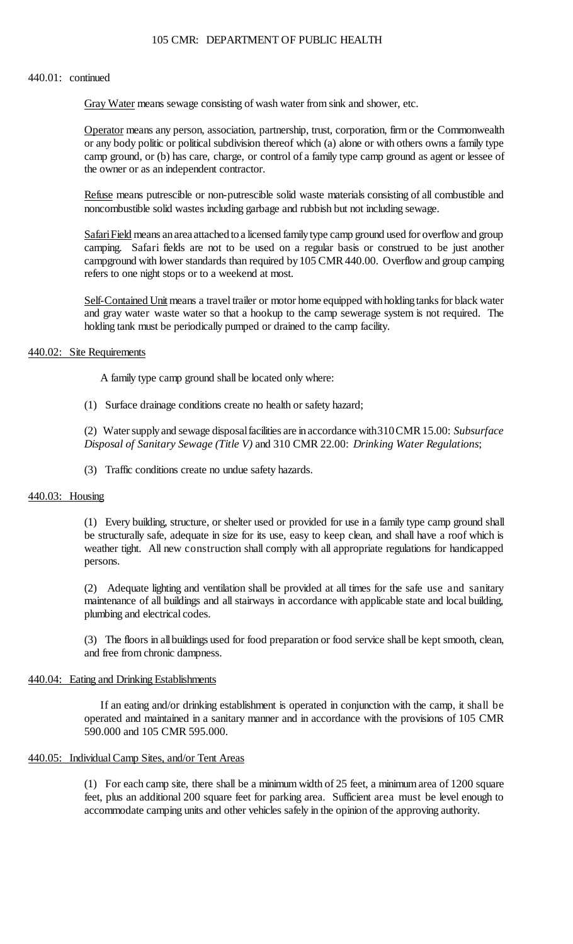#### 440.01: continued

Gray Water means sewage consisting of wash water from sink and shower, etc.

 or any body politic or political subdivision thereof which (a) alone or with others owns a family type camp ground, or (b) has care, charge, or control of a family type camp ground as agent or lessee of Operator means any person, association, partnership, trust, corporation, firm or the Commonwealth the owner or as an independent contractor.

Refuse means putrescible or non-putrescible solid waste materials consisting of all combustible and noncombustible solid wastes including garbage and rubbish but not including sewage.

 campground with lower standards than required by 105 CMR 440.00. Overflow and group camping Safari Field means an area attached to a licensed family type camp ground used for overflow and group camping. Safari fields are not to be used on a regular basis or construed to be just another refers to one night stops or to a weekend at most.

Self-Contained Unit means a travel trailer or motor home equipped with holding tanks for black water and gray water waste water so that a hookup to the camp sewerage system is not required. The holding tank must be periodically pumped or drained to the camp facility.

### 440.02: Site Requirements

A family type camp ground shall be located only where:

(1) Surface drainage conditions create no health or safety hazard;

 (2) Water supply and sewage disposal facilities are in accordance with310 CMR 15.00: *Subsurface Disposal of Sanitary Sewage (Title V)* and 310 CMR 22.00: *Drinking Water Regulations*;

(3) Traffic conditions create no undue safety hazards.

### 440.03: Housing

(1) Every building, structure, or shelter used or provided for use in a family type camp ground shall be structurally safe, adequate in size for its use, easy to keep clean, and shall have a roof which is weather tight. All new construction shall comply with all appropriate regulations for handicapped persons.

 (2) Adequate lighting and ventilation shall be provided at all times for the safe use and sanitary maintenance of all buildings and all stairways in accordance with applicable state and local building, plumbing and electrical codes.

 (3) The floors in allbuildings used for food preparation or food service shall be kept smooth, clean, and free from chronic dampness.

### 440.04: Eating and Drinking Establishments

If an eating and/or drinking establishment is operated in conjunction with the camp, it shall be operated and maintained in a sanitary manner and in accordance with the provisions of 105 CMR 590.000 and 105 CMR 595.000.

## 440.05: Individual Camp Sites, and/or Tent Areas

 (1) For each camp site, there shall be a minimum width of 25 feet, a minimum area of 1200 square feet, plus an additional 200 square feet for parking area. Sufficient area must be level enough to accommodate camping units and other vehicles safely in the opinion of the approving authority.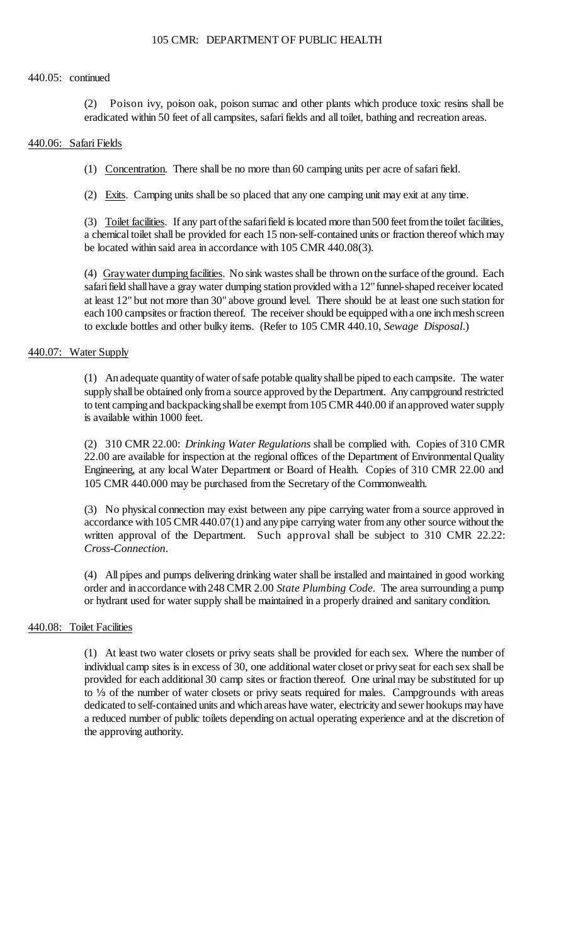### 440.05: continued

 $(2)$ Poison ivy, poison oak, poison sumac and other plants which produce toxic resins shall be eradicated within 50 feet of all campsites, safari fields and all toilet, bathing and recreation areas.

### 440.06: Safari Fields

(1) Concentration. There shall be no more than 60 camping units per acre of safari field.

(2) Exits. Camping units shall be so placed that any one camping unit may exit at any time.

(3) Toilet facilities. If any part of the safari field is located more than 500 feet from the toilet facilities, a chemical toilet shall be provided for each 15 non-self-contained units or fraction thereof which may be located within said area in accordance with 105 CMR 440.08(3).

(4) Gray water dumping facilities. No sink wastes shall be thrown on the surface of the ground. Each safari field shall have a gray water dumping station provided with a 12" funnel-shaped receiver located at least 12" but not more than 30" above ground level. There should be at least one such station for each 100 campsites or fraction thereof. The receiver should be equipped with a one inch mesh screen to exclude bottles and other bulky items. (Refer to 105 CMR 440.10, *Sewage Disposal*.)

## 440.07: Water Supply

 (1) An adequate quantity of water of safe potable quality shall be piped to each campsite. The water supply shall be obtained only from a source approved by the Department. Any campground restricted to tent camping and backpacking shall be exempt from 105 CMR 440.00 if an approved water supply is available within 1000 feet.

 (2) 310 CMR 22.00: *Drinking Water Regulations* shall be complied with. Copies of 310 CMR 22.00 are available for inspection at the regional offices of the Department of Environmental Quality Engineering, at any local Water Department or Board of Health. Copies of 310 CMR 22.00 and 105 CMR 440.000 may be purchased from the Secretary of the Commonwealth.

 (3) No physical connection may exist between any pipe carrying water from a source approved in accordance with 105 CMR 440.07(1) and any pipe carrying water from any other source without the written approval of the Department. Such approval shall be subject to 310 CMR 22.22: *Cross-Connection*.

(4) All pipes and pumps delivering drinking water shall be installed and maintained in good working order and in accordance with 248 CMR 2.00 *State Plumbing Code*. The area surrounding a pump or hydrant used for water supply shall be maintained in a properly drained and sanitary condition.

### 440.08: Toilet Facilities

 (1) At least two water closets or privy seats shall be provided for each sex. Where the number of individual camp sites is in excess of 30, one additional water closet or privyseat for each sex shall be provided for each additional 30 camp sites or fraction thereof. One urinal may be substituted for up a reduced number of public toilets depending on actual operating experience and at the discretion of to  $\frac{1}{3}$  of the number of water closets or privy seats required for males. Campgrounds with areas dedicated to self-contained units and which areas have water, electricity and sewer hookups may have the approving authority.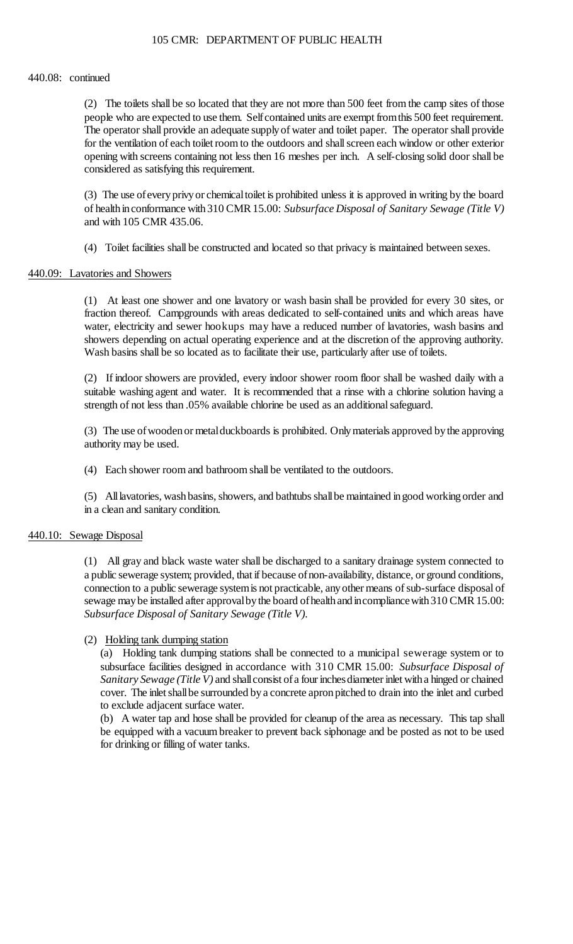#### 440.08: continued

 people who are expected to use them. Self contained units are exempt from this 500 feet requirement. The operator shall provide an adequate supplyof water and toilet paper. The operator shall provide opening with screens containing not less then 16 meshes per inch. A self-closing solid door shall be (2) The toilets shall be so located that they are not more than 500 feet from the camp sites of those for the ventilation of each toilet room to the outdoors and shall screen each window or other exterior considered as satisfying this requirement.

 (3) The use ofeveryprivyor chemicaltoilet is prohibited unless it is approved in writing by the board of health in conformance with 310 CMR 15.00: *Subsurface Disposal of Sanitary Sewage (Title V)*  and with 105 CMR 435.06.

(4) Toilet facilities shall be constructed and located so that privacy is maintained between sexes.

### 440.09: Lavatories and Showers

 showers depending on actual operating experience and at the discretion of the approving authority. (1) At least one shower and one lavatory or wash basin shall be provided for every 30 sites, or fraction thereof. Campgrounds with areas dedicated to self-contained units and which areas have water, electricity and sewer hookups may have a reduced number of lavatories, wash basins and Wash basins shall be so located as to facilitate their use, particularly after use of toilets.

 (2) If indoor showers are provided, every indoor shower room floor shall be washed daily with a suitable washing agent and water. It is recommended that a rinse with a chlorine solution having a strength of not less than .05% available chlorine be used as an additional safeguard.

 (3) The use of wooden or metal duckboards is prohibited. Only materials approved by the approving authority may be used.

(4) Each shower room and bathroom shall be ventilated to the outdoors.

 (5) All lavatories, wash basins, showers, and bathtubs shall be maintained in good working order and in a clean and sanitary condition.

## 440.10: Sewage Disposal

 (1) All gray and black waste water shall be discharged to a sanitary drainage system connected to connection to a public sewerage system is not practicable, any other means of sub-surface disposal of sewage may be installed after approval by the board of health and incompliance with 310 CMR 15.00: a public sewerage system; provided, that if because of non-availability, distance, or ground conditions, *Subsurface Disposal of Sanitary Sewage (Title V)*.

## (2) Holding tank dumping station

 subsurface facilities designed in accordance with 310 CMR 15.00: *Subsurface Disposal of*  cover. The inlet shall be surrounded by a concrete apron pitched to drain into the inlet and curbed (a) Holding tank dumping stations shall be connected to a municipal sewerage system or to *Sanitary Sewage (Title V)* and shall consist of a four inchesdiameter inlet with a hinged or chained to exclude adjacent surface water.

(b) A water tap and hose shall be provided for cleanup of the area as necessary. This tap shall be equipped with a vacuum breaker to prevent back siphonage and be posted as not to be used for drinking or filling of water tanks.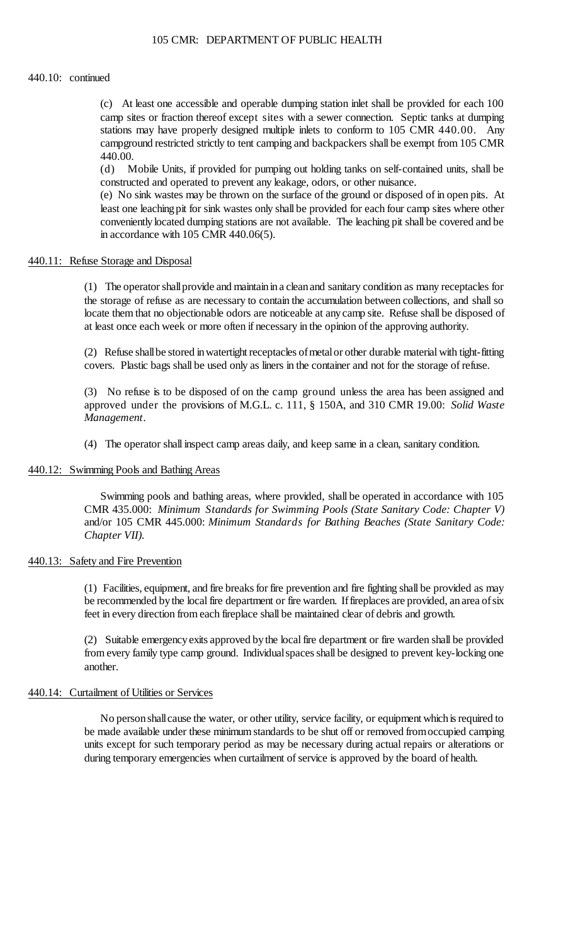#### 440.10: continued

 (c) At least one accessible and operable dumping station inlet shall be provided for each 100 stations may have properly designed multiple inlets to conform to 105 CMR 440.00. Any camp sites or fraction thereof except sites with a sewer connection. Septic tanks at dumping campground restricted strictly to tent camping and backpackers shall be exempt from 105 CMR 440.00.

 (d) Mobile Units, if provided for pumping out holding tanks on self-contained units, shall be constructed and operated to prevent any leakage, odors, or other nuisance.

 (e) No sink wastes may be thrown on the surface of the ground or disposed of in open pits. At least one leaching pit for sink wastes only shall be provided for each four camp sites where other conveniently located dumping stations are not available. The leaching pit shall be covered and be in accordance with 105 CMR 440.06(5).

### 440.11: Refuse Storage and Disposal

 (1) The operator shall provide and maintain in a clean and sanitary condition as many receptacles for the storage of refuse as are necessary to contain the accumulation between collections, and shall so locate them that no objectionable odors are noticeable at anycamp site. Refuse shall be disposed of at least once each week or more often if necessary in the opinion of the approving authority.

 (2) Refuse shall be stored in watertight receptacles of metal or other durable material with tight-fitting covers. Plastic bags shall be used only as liners in the container and not for the storage of refuse.

 (3) No refuse is to be disposed of on the camp ground unless the area has been assigned and approved under the provisions of M.G.L. c. 111, § 150A, and 310 CMR 19.00: *Solid Waste Management*.

(4) The operator shall inspect camp areas daily, and keep same in a clean, sanitary condition.

#### 440.12: Swimming Pools and Bathing Areas

 Swimming pools and bathing areas, where provided, shall be operated in accordance with 105 CMR 435.000: *Minimum Standards for Swimming Pools (State Sanitary Code: Chapter V)*  and/or 105 CMR 445.000: *Minimum Standards for Bathing Beaches (State Sanitary Code: Chapter VII)*.

#### 440.13: Safety and Fire Prevention

 (1) Facilities, equipment, and fire breaks for fire prevention and fire fighting shall be provided as may be recommended by the local fire department or fire warden. If fireplaces are provided, an area of six feet in every direction from each fireplace shall be maintained clear of debris and growth.

 (2) Suitable emergencyexits approved by the local fire department or fire warden shall be provided from every family type camp ground. Individualspaces shall be designed to prevent key-locking one another.

## 440.14: Curtailment of Utilities or Services

No person shall cause the water, or other utility, service facility, or equipment which is required to be made available under these minimum standards to be shut off or removed fromoccupied camping units except for such temporary period as may be necessary during actual repairs or alterations or during temporary emergencies when curtailment of service is approved by the board of health.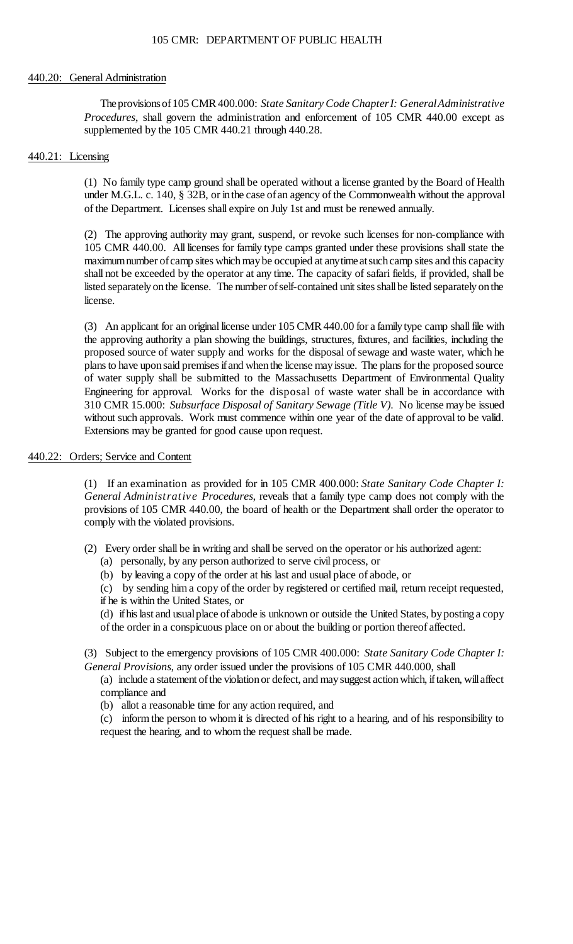#### 440.20: General Administration

 Theprovisionsof 105 CMR 400.000: *State Sanitary Code Chapter I: General Administrative Procedures*, shall govern the administration and enforcement of 105 CMR 440.00 except as supplemented by the 105 CMR 440.21 through 440.28.

### 440.21: Licensing

 (1) No family type camp ground shall be operated without a license granted by the Board of Health under M.G.L. c. 140, § 32B, or inthe case ofan agency of the Commonwealth without the approval of the Department. Licenses shall expire on July 1st and must be renewed annually.

 (2) The approving authority may grant, suspend, or revoke such licenses for non-compliance with 105 CMR 440.00. All licenses for family type camps granted under these provisions shall state the maximum number of camp sites which may be occupied at anytimeat such camp sites and this capacity shall not be exceeded by the operator at any time. The capacity of safari fields, if provided, shall be listed separately on the license. The number of self-contained unit sites shall be listed separately on the license.

 (3) An applicant for an original license under 105 CMR 440.00 for a family type camp shall file with the approving authority a plan showing the buildings, structures, fixtures, and facilities, including the 310 CMR 15.000: *Subsurface Disposal of Sanitary Sewage (Title V)*. No license maybe issued without such approvals. Work must commence within one year of the date of approval to be valid. proposed source of water supply and works for the disposal of sewage and waste water, which he plans to have upon said premises if and when the license may issue. The plans for the proposed source of water supply shall be submitted to the Massachusetts Department of Environmental Quality Engineering for approval. Works for the disposal of waste water shall be in accordance with Extensions may be granted for good cause upon request.

## 440.22: Orders; Service and Content

 provisions of 105 CMR 440.00, the board of health or the Department shall order the operator to (1) If an examination as provided for in 105 CMR 400.000: *State Sanitary Code Chapter I: General Administrative Procedures*, reveals that a family type camp does not comply with the comply with the violated provisions.

- (2) Every order shall be in writing and shall be served on the operator or his authorized agent:
	- (a) personally, by any person authorized to serve civil process, or
	- (b) by leaving a copy of the order at his last and usual place of abode, or

 (c) by sending him a copy of the order by registered or certified mail, return receipt requested, if he is within the United States, or

 (d) if his last and usual place of abode is unknown or outside the United States, by posting a copy of the order in a conspicuous place on or about the building or portion thereof affected.

 (3) Subject to the emergency provisions of 105 CMR 400.000: *State Sanitary Code Chapter I: General Provisions*, any order issued under the provisions of 105 CMR 440.000, shall

(a) include a statement of the violation or defect, and may suggest action which, if taken, will affect compliance and

(b) allot a reasonable time for any action required, and

 (c) inform the person to whom it is directed of his right to a hearing, and of his responsibility to request the hearing, and to whom the request shall be made.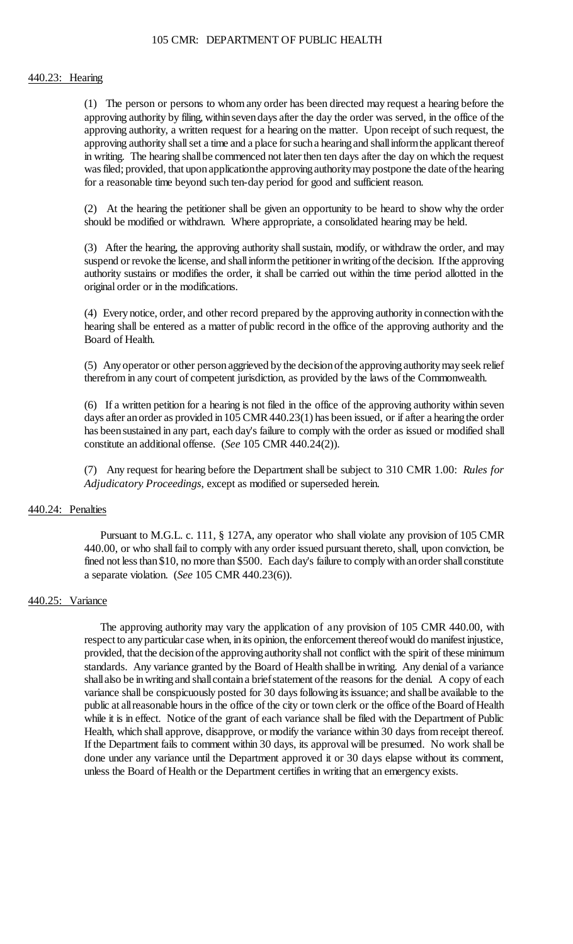#### 440.23: Hearing

 (1) The person or persons to whom any order has been directed may request a hearing before the approving authority by filing, within seven days after the day the order was served, in the office of the approving authority shall set a time and a place for such a hearing and shall inform the applicant thereof in writing. The hearing shall be commenced not later then ten days after the day on which the request approving authority, a written request for a hearing on the matter. Upon receipt of such request, the was filed; provided, that upon applicationthe approving authority may postpone the date of the hearing for a reasonable time beyond such ten-day period for good and sufficient reason.

 (2) At the hearing the petitioner shall be given an opportunity to be heard to show why the order should be modified or withdrawn. Where appropriate, a consolidated hearing may be held.

(3) After the hearing, the approving authority shall sustain, modify, or withdraw the order, and may suspend or revoke the license, and shall inform the petitioner in writing of the decision. If the approving authority sustains or modifies the order, it shall be carried out within the time period allotted in the original order or in the modifications.

 (4) Every notice, order, and other record prepared by the approving authority in connection with the hearing shall be entered as a matter of public record in the office of the approving authority and the Board of Health.

 (5) Any operator or other person aggrieved by the decision of the approving authority may seek relief therefrom in any court of competent jurisdiction, as provided by the laws of the Commonwealth.

 (6) If a written petition for a hearing is not filed in the office of the approving authority within seven days after an order as provided in 105 CMR 440.23(1) has been issued, or if after a hearing the order has beensustained in any part, each day's failure to comply with the order as issued or modified shall constitute an additional offense. (*See* 105 CMR 440.24(2)).

 (7) Any request for hearing before the Department shall be subject to 310 CMR 1.00: *Rules for Adjudicatory Proceedings*, except as modified or superseded herein.

### 440.24: Penalties

 Pursuant to M.G.L. c. 111, § 127A, any operator who shall violate any provision of 105 CMR fined not less than \$10, no more than \$500. Each day's failure to comply with an order shall constitute 440.00, or who shall fail to comply with any order issued pursuant thereto, shall, upon conviction, be a separate violation. (*See* 105 CMR 440.23(6)).

#### 440.25: Variance

 provided, that the decision of the approving authority shall not conflict with the spirit of these minimum standards. Any variance granted by the Board of Health shallbe inwriting. Any denial of a variance shall also be in writing and shall contain a brief statement of the reasons for the denial. A copy of each variance shall be conspicuously posted for 30 days following its issuance; and shall be available to the public at all reasonable hours in the office of the city or town clerk or the office of the Board of Health while it is in effect. Notice of the grant of each variance shall be filed with the Department of Public The approving authority may vary the application of any provision of 105 CMR 440.00, with respect to any particular case when, in its opinion, the enforcement thereof would do manifest injustice, Health, which shall approve, disapprove, or modify the variance within 30 days from receipt thereof. If the Department fails to comment within 30 days, its approval will be presumed. No work shall be done under any variance until the Department approved it or 30 days elapse without its comment, unless the Board of Health or the Department certifies in writing that an emergency exists.